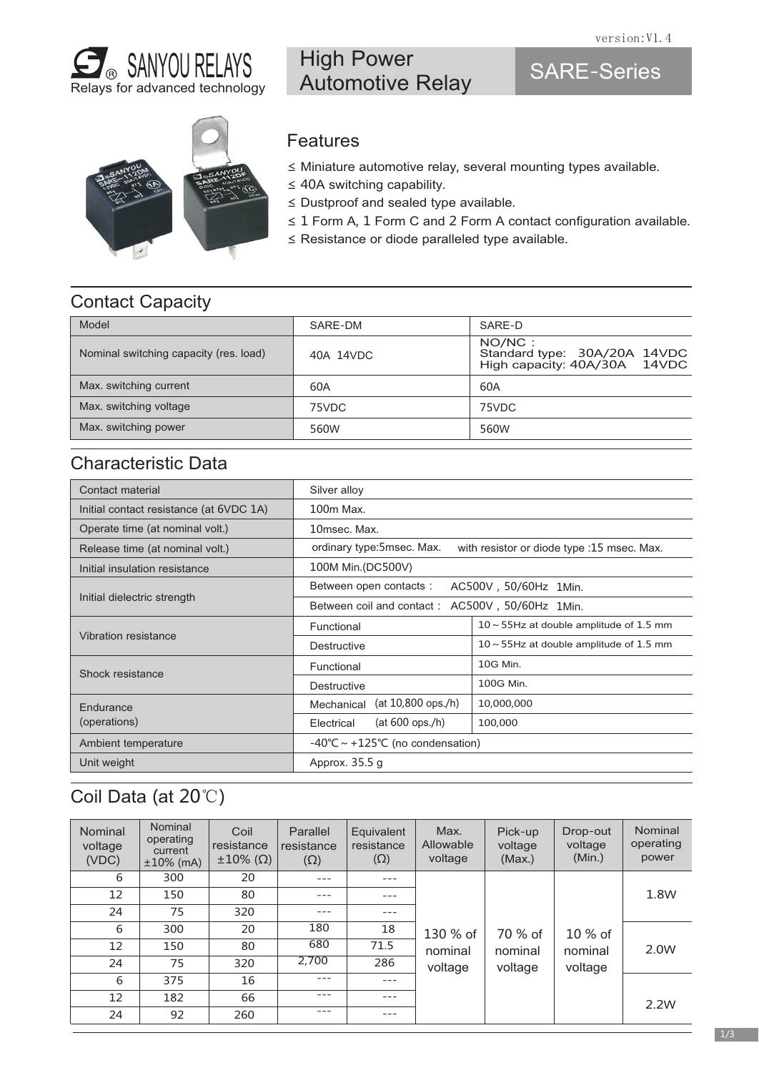

# High Power Automotive Relay

# SARE-Series



#### **Features**

- ≤ Miniature automotive relay, several mounting types available.
- ≤ 40A switching capability.
- ≤ Dustproof and sealed type available.
- ≤ 1 Form A, 1 Form C and 2 Form A contact configuration available.
- ≤ Resistance or diode paralleled type available.

### Contact Capacity

| Model                                  | SARF-DM   | SARF-D                                                                 |
|----------------------------------------|-----------|------------------------------------------------------------------------|
| Nominal switching capacity (res. load) | 40A 14VDC | NO/NC:<br>Standard type: 30A/20A 14VDC<br>High capacity: 40A/30A 14VDC |
| Max. switching current                 | 60A       | 60A                                                                    |
| Max. switching voltage                 | 75VDC     | 75VDC                                                                  |
| Max. switching power                   | 560W      | 560W                                                                   |

### Characteristic Data

| Contact material                        | Silver alloy                                                              |                                               |  |  |
|-----------------------------------------|---------------------------------------------------------------------------|-----------------------------------------------|--|--|
| Initial contact resistance (at 6VDC 1A) | 100m Max.                                                                 |                                               |  |  |
| Operate time (at nominal volt.)         | 10msec. Max.                                                              |                                               |  |  |
| Release time (at nominal volt.)         | ordinary type: 5 msec. Max.<br>with resistor or diode type :15 msec. Max. |                                               |  |  |
| Initial insulation resistance           | 100M Min. (DC500V)                                                        |                                               |  |  |
|                                         | Between open contacts:<br>AC500V, 50/60Hz 1Min.                           |                                               |  |  |
| Initial dielectric strength             | Between coil and contact: AC500V, 50/60Hz 1Min.                           |                                               |  |  |
|                                         | Functional                                                                | $10 \sim 55$ Hz at double amplitude of 1.5 mm |  |  |
| Vibration resistance                    | Destructive                                                               | $10 \sim 55$ Hz at double amplitude of 1.5 mm |  |  |
| Shock resistance                        | Functional                                                                | 10G Min.                                      |  |  |
|                                         | Destructive                                                               | 100G Min.                                     |  |  |
| Endurance                               | $(at 10,800$ ops./h)<br>Mechanical                                        | 10,000,000                                    |  |  |
| (operations)                            | $(at 600$ ops./h)<br>Electrical                                           | 100,000                                       |  |  |
| Ambient temperature                     | $-40^{\circ}$ C ~ +125°C (no condensation)                                |                                               |  |  |
| Unit weight                             | Approx. 35.5 g                                                            |                                               |  |  |

# Coil Data (at 20℃)

| <b>Nominal</b><br>voltage<br>(VDC) | Nominal<br>operating<br>current<br>$±10\%$ (mA) | Coil<br>resistance<br>$\pm 10\%$ (Ω) | Parallel<br>resistance<br>$(\Omega)$ | Equivalent<br>resistance<br>$(\Omega)$ | Max.<br>Allowable<br>voltage | Pick-up<br>voltage<br>(Max.) | Drop-out<br>voltage<br>(Min.) | Nominal<br>operating<br>power |
|------------------------------------|-------------------------------------------------|--------------------------------------|--------------------------------------|----------------------------------------|------------------------------|------------------------------|-------------------------------|-------------------------------|
| 6                                  | 300                                             | 20                                   | $---$                                | $---$                                  |                              |                              |                               |                               |
| 12                                 | 150                                             | 80                                   | ---                                  | $---$                                  |                              |                              |                               | 1.8W                          |
| 24                                 | 75                                              | 320                                  | ---                                  | $---$                                  |                              |                              |                               |                               |
| 6                                  | 300                                             | 20                                   | 180                                  | 18                                     | 130 % of                     | 70 % of                      | $10\%$ of                     |                               |
| 12                                 | 150                                             | 80                                   | 680                                  | 71.5                                   | nominal                      | nominal                      | nominal                       | 2.0W                          |
| 24                                 | 75                                              | 320                                  | 2,700                                | 286                                    | voltage                      | voltage                      | voltage                       |                               |
| 6                                  | 375                                             | 16                                   | $---$                                | $---$                                  |                              |                              |                               |                               |
| 12                                 | 182                                             | 66                                   | $---$                                | $---$                                  |                              |                              |                               | 2.2W                          |
| 24                                 | 92                                              | 260                                  | ---                                  | $---$                                  |                              |                              |                               |                               |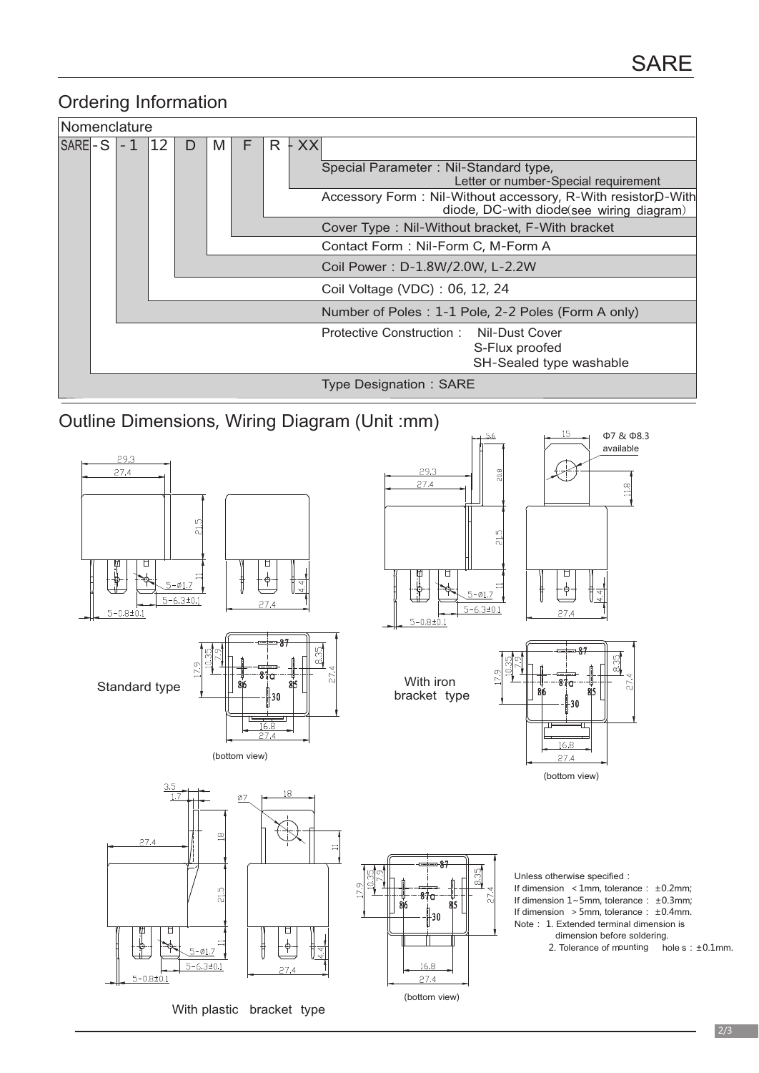### Ordering Information

| Nomenclature      |  |                               |  |                                                                                                                                                                                                                                                                                                                                                                                                               |  |  |  |                                                                                                                       |
|-------------------|--|-------------------------------|--|---------------------------------------------------------------------------------------------------------------------------------------------------------------------------------------------------------------------------------------------------------------------------------------------------------------------------------------------------------------------------------------------------------------|--|--|--|-----------------------------------------------------------------------------------------------------------------------|
| $ SARE$ - S $ -1$ |  | 12<br>$R + XX$<br>F<br>M<br>D |  | Special Parameter: Nil-Standard type,<br>Letter or number-Special requirement<br>Accessory Form: Nil-Without accessory, R-With resistorD-With<br>diode, DC-with diode(see wiring diagram)<br>Cover Type: Nil-Without bracket, F-With bracket<br>Contact Form: Nil-Form C, M-Form A<br>Coil Power: D-1.8W/2.0W, L-2.2W<br>Coil Voltage (VDC): 06, 12, 24<br>Number of Poles: 1-1 Pole, 2-2 Poles (Form A only) |  |  |  |                                                                                                                       |
|                   |  |                               |  |                                                                                                                                                                                                                                                                                                                                                                                                               |  |  |  | Protective Construction: Nil-Dust Cover<br>S-Flux proofed<br>SH-Sealed type washable<br><b>Type Designation: SARE</b> |

Outline Dimensions, Wiring Diagram (Unit :mm)